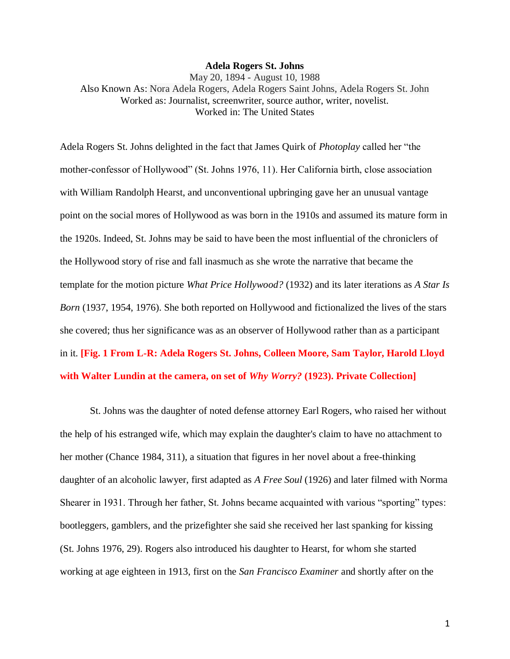#### **Adela Rogers St. Johns**

May 20, 1894 - August 10, 1988 Also Known As: Nora Adela Rogers, Adela Rogers Saint Johns, Adela Rogers St. John Worked as: Journalist, screenwriter, source author, writer, novelist. Worked in: The United States

Adela Rogers St. Johns delighted in the fact that James Quirk of *Photoplay* called her "the mother-confessor of Hollywood" (St. Johns 1976, 11). Her California birth, close association with William Randolph Hearst, and unconventional upbringing gave her an unusual vantage point on the social mores of Hollywood as was born in the 1910s and assumed its mature form in the 1920s. Indeed, St. Johns may be said to have been the most influential of the chroniclers of the Hollywood story of rise and fall inasmuch as she wrote the narrative that became the template for the motion picture *What Price Hollywood?* (1932) and its later iterations as *A Star Is Born* (1937, 1954, 1976). She both reported on Hollywood and fictionalized the lives of the stars she covered; thus her significance was as an observer of Hollywood rather than as a participant in it. **[Fig. 1 From L-R: Adela Rogers St. Johns, Colleen Moore, Sam Taylor, Harold Lloyd with Walter Lundin at the camera, on set of** *Why Worry?* **(1923). Private Collection]**

St. Johns was the daughter of noted defense attorney Earl Rogers, who raised her without the help of his estranged wife, which may explain the daughter's claim to have no attachment to her mother (Chance 1984, 311), a situation that figures in her novel about a free-thinking daughter of an alcoholic lawyer, first adapted as *A Free Soul* (1926) and later filmed with Norma Shearer in 1931. Through her father, St. Johns became acquainted with various "sporting" types: bootleggers, gamblers, and the prizefighter she said she received her last spanking for kissing (St. Johns 1976, 29). Rogers also introduced his daughter to Hearst, for whom she started working at age eighteen in 1913, first on the *San Francisco Examiner* and shortly after on the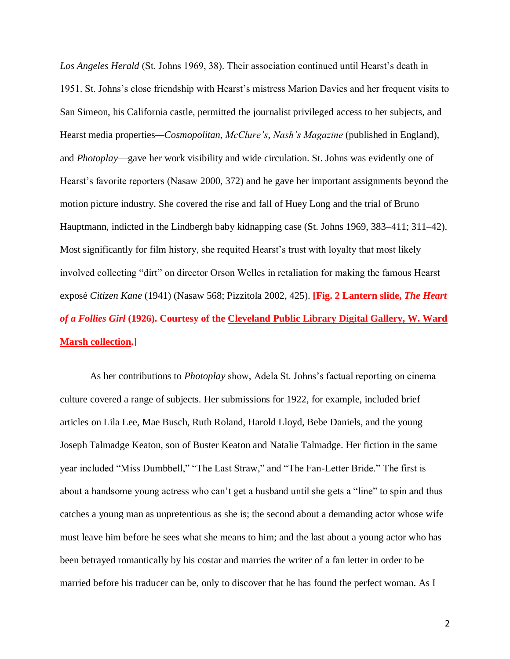*Los Angeles Herald* (St. Johns 1969, 38). Their association continued until Hearst's death in 1951. St. Johns's close friendship with Hearst's mistress Marion Davies and her frequent visits to San Simeon, his California castle, permitted the journalist privileged access to her subjects, and Hearst media properties*—Cosmopolitan*, *McClure's*, *Nash's Magazine* (published in England), and *Photoplay*—gave her work visibility and wide circulation. St. Johns was evidently one of Hearst's favorite reporters (Nasaw 2000, 372) and he gave her important assignments beyond the motion picture industry. She covered the rise and fall of Huey Long and the trial of Bruno Hauptmann, indicted in the Lindbergh baby kidnapping case (St. Johns 1969, 383–411; 311–42). Most significantly for film history, she requited Hearst's trust with loyalty that most likely involved collecting "dirt" on director Orson Welles in retaliation for making the famous Hearst exposé *Citizen Kane* (1941) (Nasaw 568; Pizzitola 2002, 425). **[Fig. 2 Lantern slide,** *The Heart of a Follies Girl* **(1926). Courtesy of the [Cleveland Public Library Digital Gallery, W. Ward](https://cdm16014.contentdm.oclc.org/digital/collection/p4014coll16)  [Marsh collection.](https://cdm16014.contentdm.oclc.org/digital/collection/p4014coll16)]**

As her contributions to *Photoplay* show, Adela St. Johns's factual reporting on cinema culture covered a range of subjects. Her submissions for 1922, for example, included brief articles on Lila Lee, Mae Busch, Ruth Roland, Harold Lloyd, Bebe Daniels, and the young Joseph Talmadge Keaton, son of Buster Keaton and Natalie Talmadge. Her fiction in the same year included "Miss Dumbbell," "The Last Straw," and "The Fan-Letter Bride." The first is about a handsome young actress who can't get a husband until she gets a "line" to spin and thus catches a young man as unpretentious as she is; the second about a demanding actor whose wife must leave him before he sees what she means to him; and the last about a young actor who has been betrayed romantically by his costar and marries the writer of a fan letter in order to be married before his traducer can be, only to discover that he has found the perfect woman. As I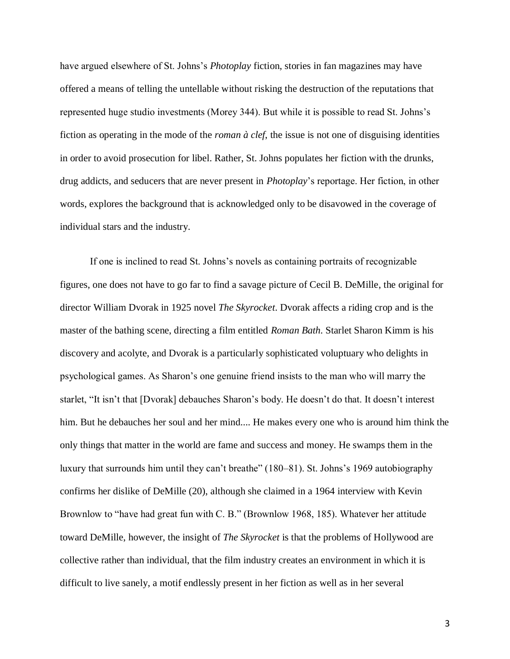have argued elsewhere of St. Johns's *Photoplay* fiction, stories in fan magazines may have offered a means of telling the untellable without risking the destruction of the reputations that represented huge studio investments (Morey 344). But while it is possible to read St. Johns's fiction as operating in the mode of the *roman à clef*, the issue is not one of disguising identities in order to avoid prosecution for libel. Rather, St. Johns populates her fiction with the drunks, drug addicts, and seducers that are never present in *Photoplay*'s reportage. Her fiction, in other words, explores the background that is acknowledged only to be disavowed in the coverage of individual stars and the industry.

If one is inclined to read St. Johns's novels as containing portraits of recognizable figures, one does not have to go far to find a savage picture of Cecil B. DeMille, the original for director William Dvorak in 1925 novel *The Skyrocket*. Dvorak affects a riding crop and is the master of the bathing scene, directing a film entitled *Roman Bath*. Starlet Sharon Kimm is his discovery and acolyte, and Dvorak is a particularly sophisticated voluptuary who delights in psychological games. As Sharon's one genuine friend insists to the man who will marry the starlet, "It isn't that [Dvorak] debauches Sharon's body. He doesn't do that. It doesn't interest him. But he debauches her soul and her mind.... He makes every one who is around him think the only things that matter in the world are fame and success and money. He swamps them in the luxury that surrounds him until they can't breathe" (180–81). St. Johns's 1969 autobiography confirms her dislike of DeMille (20), although she claimed in a 1964 interview with Kevin Brownlow to "have had great fun with C. B." (Brownlow 1968, 185). Whatever her attitude toward DeMille, however, the insight of *The Skyrocket* is that the problems of Hollywood are collective rather than individual, that the film industry creates an environment in which it is difficult to live sanely, a motif endlessly present in her fiction as well as in her several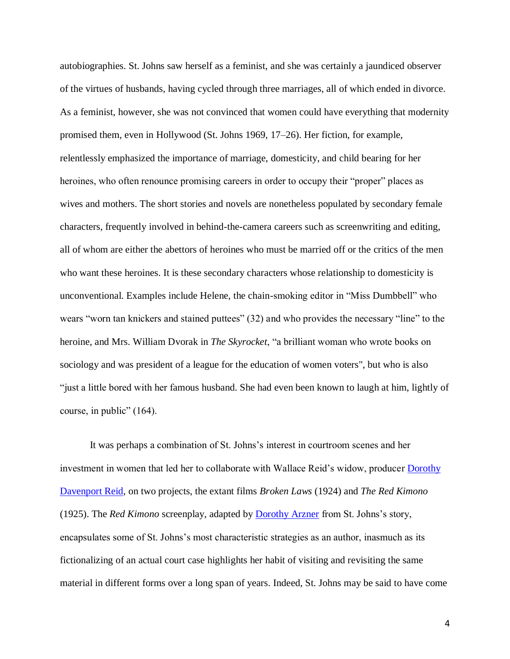autobiographies. St. Johns saw herself as a feminist, and she was certainly a jaundiced observer of the virtues of husbands, having cycled through three marriages, all of which ended in divorce. As a feminist, however, she was not convinced that women could have everything that modernity promised them, even in Hollywood (St. Johns 1969, 17–26). Her fiction, for example, relentlessly emphasized the importance of marriage, domesticity, and child bearing for her heroines, who often renounce promising careers in order to occupy their "proper" places as wives and mothers. The short stories and novels are nonetheless populated by secondary female characters, frequently involved in behind-the-camera careers such as screenwriting and editing, all of whom are either the abettors of heroines who must be married off or the critics of the men who want these heroines. It is these secondary characters whose relationship to domesticity is unconventional. Examples include Helene, the chain-smoking editor in "Miss Dumbbell" who wears "worn tan knickers and stained puttees" (32) and who provides the necessary "line" to the heroine, and Mrs. William Dvorak in *The Skyrocket*, "a brilliant woman who wrote books on sociology and was president of a league for the education of women voters", but who is also "just a little bored with her famous husband. She had even been known to laugh at him, lightly of course, in public" (164).

It was perhaps a combination of St. Johns's interest in courtroom scenes and her investment in women that led her to collaborate with Wallace Reid's widow, producer [Dorothy](https://wfpp-test.cul.columbia.edu/pioneer/ccp-dorothy-davenport-reid/)  [Davenport Reid,](https://wfpp-test.cul.columbia.edu/pioneer/ccp-dorothy-davenport-reid/) on two projects, the extant films *Broken Laws* (1924) and *The Red Kimono* (1925). The *Red Kimono* screenplay, adapted by [Dorothy Arzner](https://wfpp-test.cul.columbia.edu/pioneer/ccp-dorothy-arzner/) from St. Johns's story, encapsulates some of St. Johns's most characteristic strategies as an author, inasmuch as its fictionalizing of an actual court case highlights her habit of visiting and revisiting the same material in different forms over a long span of years. Indeed, St. Johns may be said to have come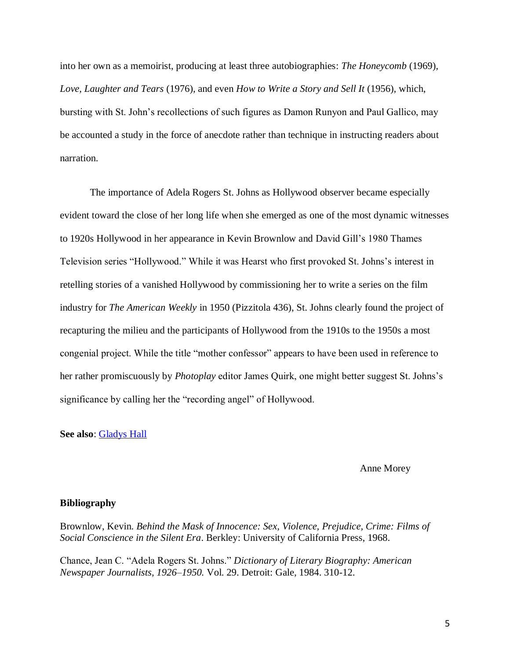into her own as a memoirist, producing at least three autobiographies: *The Honeycomb* (1969), *Love, Laughter and Tears* (1976), and even *How to Write a Story and Sell It* (1956), which, bursting with St. John's recollections of such figures as Damon Runyon and Paul Gallico, may be accounted a study in the force of anecdote rather than technique in instructing readers about narration.

The importance of Adela Rogers St. Johns as Hollywood observer became especially evident toward the close of her long life when she emerged as one of the most dynamic witnesses to 1920s Hollywood in her appearance in Kevin Brownlow and David Gill's 1980 Thames Television series "Hollywood." While it was Hearst who first provoked St. Johns's interest in retelling stories of a vanished Hollywood by commissioning her to write a series on the film industry for *The American Weekly* in 1950 (Pizzitola 436), St. Johns clearly found the project of recapturing the milieu and the participants of Hollywood from the 1910s to the 1950s a most congenial project. While the title "mother confessor" appears to have been used in reference to her rather promiscuously by *Photoplay* editor James Quirk, one might better suggest St. Johns's significance by calling her the "recording angel" of Hollywood.

**See also**: Gladys Hall

Anne Morey

#### **Bibliography**

Brownlow, Kevin. *Behind the Mask of Innocence: Sex, Violence, Prejudice, Crime: Films of Social Conscience in the Silent Era*. Berkley: University of California Press, 1968.

Chance, Jean C. "Adela Rogers St. Johns." *Dictionary of Literary Biography: American Newspaper Journalists, 1926–1950.* Vol. 29. Detroit: Gale, 1984. 310-12.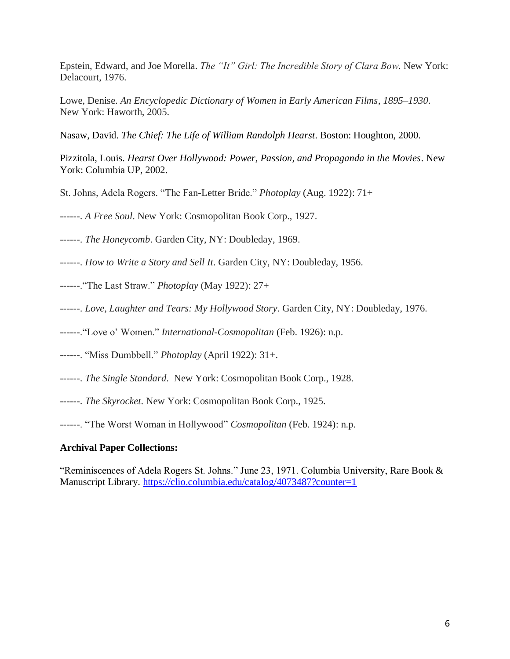Epstein, Edward, and Joe Morella. *The "It" Girl: The Incredible Story of Clara Bow.* New York: Delacourt, 1976.

Lowe, Denise. *An Encyclopedic Dictionary of Women in Early American Films*, *1895–1930*. New York: Haworth, 2005.

Nasaw, David. *The Chief: The Life of William Randolph Hearst*. Boston: Houghton, 2000.

Pizzitola, Louis. *Hearst Over Hollywood: Power, Passion, and Propaganda in the Movies*. New York: Columbia UP, 2002.

St. Johns, Adela Rogers. "The Fan-Letter Bride." *Photoplay* (Aug. 1922): 71+

------. *A Free Soul*. New York: Cosmopolitan Book Corp., 1927.

------. *The Honeycomb*. Garden City, NY: Doubleday, 1969.

------. *How to Write a Story and Sell It*. Garden City, NY: Doubleday, 1956.

- ------."The Last Straw." *Photoplay* (May 1922): 27+
- ------. *Love, Laughter and Tears: My Hollywood Story*. Garden City, NY: Doubleday, 1976.

------."Love o' Women." *International-Cosmopolitan* (Feb. 1926): n.p.

------. "Miss Dumbbell." *Photoplay* (April 1922): 31+.

- ------. *The Single Standard*. New York: Cosmopolitan Book Corp., 1928.
- ------. *The Skyrocket*. New York: Cosmopolitan Book Corp., 1925.

------. "The Worst Woman in Hollywood" *Cosmopolitan* (Feb. 1924): n.p.

# **Archival Paper Collections:**

"Reminiscences of Adela Rogers St. Johns." June 23, 1971. Columbia University, Rare Book & Manuscript Library. <https://clio.columbia.edu/catalog/4073487?counter=1>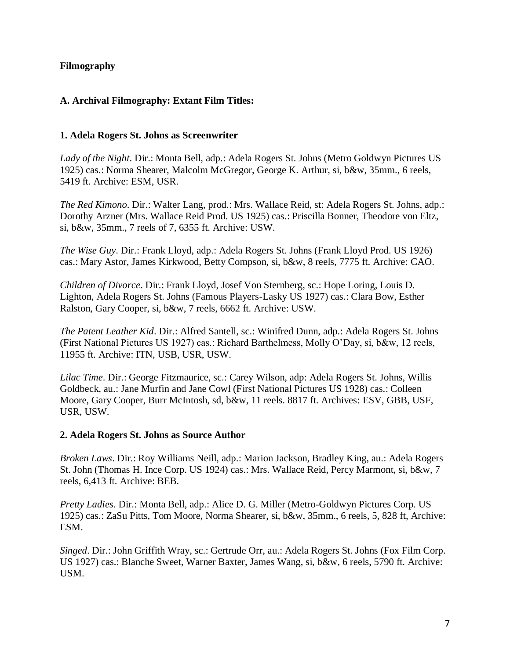# **Filmography**

# **A. Archival Filmography: Extant Film Titles:**

## **1. Adela Rogers St. Johns as Screenwriter**

*Lady of the Night*. Dir.: Monta Bell, adp.: Adela Rogers St. Johns (Metro Goldwyn Pictures US 1925) cas.: Norma Shearer, Malcolm McGregor, George K. Arthur, si, b&w, 35mm., 6 reels, 5419 ft. Archive: ESM, USR.

*The Red Kimono*. Dir.: Walter Lang, prod.: Mrs. Wallace Reid, st: Adela Rogers St. Johns, adp.: Dorothy Arzner (Mrs. Wallace Reid Prod. US 1925) cas.: Priscilla Bonner, Theodore von Eltz, si, b&w, 35mm., 7 reels of 7, 6355 ft. Archive: USW.

*The Wise Guy*. Dir.: Frank Lloyd, adp.: Adela Rogers St. Johns (Frank Lloyd Prod. US 1926) cas.: Mary Astor, James Kirkwood, Betty Compson, si, b&w, 8 reels, 7775 ft. Archive: CAO.

*Children of Divorce*. Dir.: Frank Lloyd, Josef Von Sternberg, sc.: Hope Loring, Louis D. Lighton, Adela Rogers St. Johns (Famous Players-Lasky US 1927) cas.: Clara Bow, Esther Ralston, Gary Cooper, si, b&w, 7 reels, 6662 ft. Archive: USW.

*The Patent Leather Kid*. Dir.: Alfred Santell, sc.: Winifred Dunn, adp.: Adela Rogers St. Johns (First National Pictures US 1927) cas.: Richard Barthelmess, Molly O'Day, si, b&w, 12 reels, 11955 ft. Archive: ITN, USB, USR, USW.

*Lilac Time*. Dir.: George Fitzmaurice, sc.: Carey Wilson, adp: Adela Rogers St. Johns, Willis Goldbeck, au.: Jane Murfin and Jane Cowl (First National Pictures US 1928) cas.: Colleen Moore, Gary Cooper, Burr McIntosh, sd, b&w, 11 reels. 8817 ft. Archives: ESV, GBB, USF, USR, USW.

### **2. Adela Rogers St. Johns as Source Author**

*Broken Laws*. Dir.: Roy Williams Neill, adp.: Marion Jackson, Bradley King, au.: Adela Rogers St. John (Thomas H. Ince Corp. US 1924) cas.: Mrs. Wallace Reid, Percy Marmont, si, b&w, 7 reels, 6,413 ft. Archive: BEB.

*Pretty Ladies*. Dir.: Monta Bell, adp.: Alice D. G. Miller (Metro-Goldwyn Pictures Corp. US 1925) cas.: ZaSu Pitts, Tom Moore, Norma Shearer, si, b&w, 35mm., 6 reels, 5, 828 ft, Archive: ESM.

*Singed*. Dir.: John Griffith Wray, sc.: Gertrude Orr, au.: Adela Rogers St. Johns (Fox Film Corp. US 1927) cas.: Blanche Sweet, Warner Baxter, James Wang, si, b&w, 6 reels, 5790 ft. Archive: USM.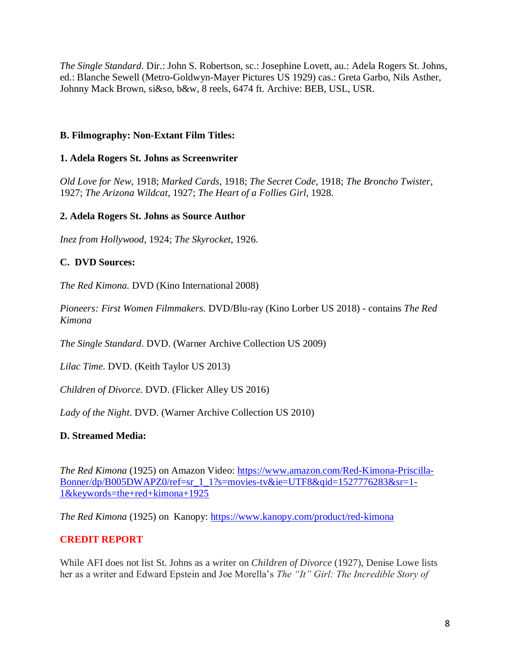*The Single Standard*. Dir.: John S. Robertson, sc.: Josephine Lovett, au.: Adela Rogers St. Johns, ed.: Blanche Sewell (Metro-Goldwyn-Mayer Pictures US 1929) cas.: Greta Garbo, Nils Asther, Johnny Mack Brown, si&so, b&w, 8 reels, 6474 ft. Archive: BEB, USL, USR.

## **B. Filmography: Non-Extant Film Titles:**

### **1. Adela Rogers St. Johns as Screenwriter**

*Old Love for New*, 1918; *Marked Cards*, 1918; *The Secret Code*, 1918; *The Broncho Twister*, 1927; *The Arizona Wildcat*, 1927; *The Heart of a Follies Girl*, 1928.

### **2. Adela Rogers St. Johns as Source Author**

*Inez from Hollywood*, 1924; *The Skyrocket*, 1926.

## **C. DVD Sources:**

*The Red Kimona.* DVD (Kino International 2008)

*Pioneers: First Women Filmmakers.* DVD/Blu-ray (Kino Lorber US 2018) - contains *The Red Kimona*

*The Single Standard*. DVD. (Warner Archive Collection US 2009)

*Lilac Time*. DVD. (Keith Taylor US 2013)

*Children of Divorce.* DVD. (Flicker Alley US 2016)

*Lady of the Night*. DVD. (Warner Archive Collection US 2010)

# **D. Streamed Media:**

*The Red Kimona* (1925) on Amazon Video: [https://www.amazon.com/Red-Kimona-Priscilla-](https://www.amazon.com/Red-Kimona-Priscilla-Bonner/dp/B005DWAPZ0/ref=sr_1_1?s=movies-tv&ie=UTF8&qid=1527776283&sr=1-1&keywords=the+red+kimona+1925)[Bonner/dp/B005DWAPZ0/ref=sr\\_1\\_1?s=movies-tv&ie=UTF8&qid=1527776283&sr=1-](https://www.amazon.com/Red-Kimona-Priscilla-Bonner/dp/B005DWAPZ0/ref=sr_1_1?s=movies-tv&ie=UTF8&qid=1527776283&sr=1-1&keywords=the+red+kimona+1925) [1&keywords=the+red+kimona+1925](https://www.amazon.com/Red-Kimona-Priscilla-Bonner/dp/B005DWAPZ0/ref=sr_1_1?s=movies-tv&ie=UTF8&qid=1527776283&sr=1-1&keywords=the+red+kimona+1925)

*The Red Kimona* (1925) on Kanopy:<https://www.kanopy.com/product/red-kimona>

# **CREDIT REPORT**

While AFI does not list St. Johns as a writer on *Children of Divorce* (1927), Denise Lowe lists her as a writer and Edward Epstein and Joe Morella's *The "It" Girl: The Incredible Story of*